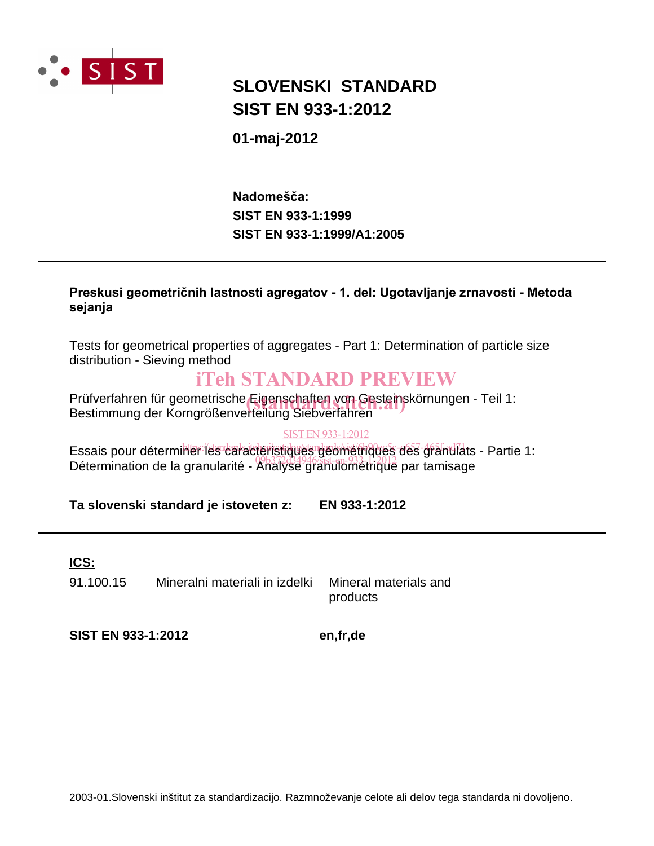

## **SIST EN 933-1:2012 SLOVENSKI STANDARD**

#### **01-maj-2012**

**SIST EN 933-1:1999/A1:2005 SIST EN 933-1:1999** Nadomešča:

#### Preskusi geometričnih lastnosti agregatov - 1. del: Ugotavljanje zrnavosti - Metoda sejanja

Tests for geometrical properties of aggregates - Part 1: Determination of particle size distribution - Sieving method

## iTeh STANDARD PREVIEW

Prüfverfahren für geometrische Eigenschaften von Gesteinskörnungen - Teil 1:<br>Bestimmung der Korngrößenverfeilung Siehverfahren Bestimmung der Korngrößenverteilung Siebverfahren

#### SIST EN 933-1:2012

Essais pour déterminer les caractéristiques géométriques des grandlats - Partie 1: Essais peur actemmentes caracteristiques sections que ses granulats.<br>Détermination de la granularité - Analyse granulométrique par tamisage

**Ta slovenski standard je istoveten z: EN 933-1:2012**

**ICS:**

91.100.15 Mineralni materiali in izdelki Mineral materials and

products

**SIST EN 933-1:2012 en,fr,de**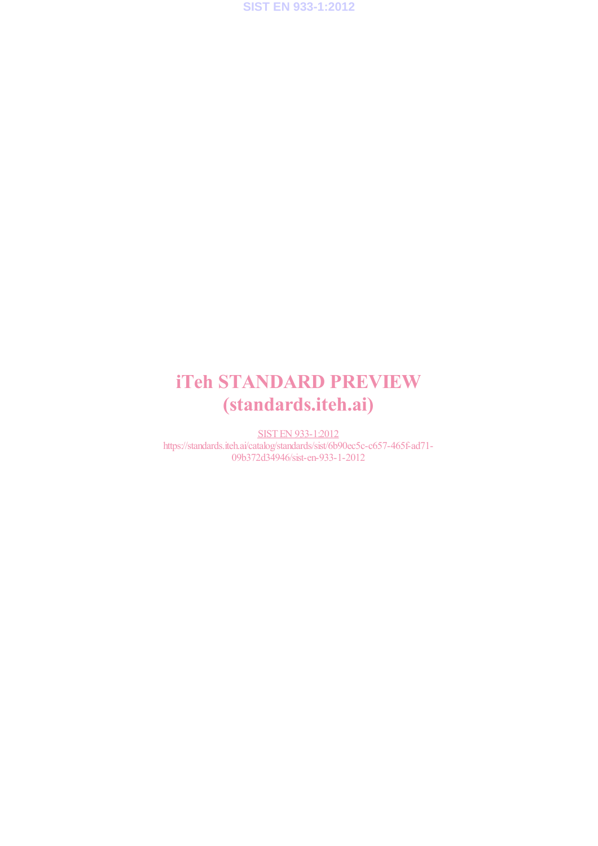

# iTeh STANDARD PREVIEW (standards.iteh.ai)

SIST EN 933-1:2012 https://standards.iteh.ai/catalog/standards/sist/6b90ec5c-c657-465f-ad71- 09b372d34946/sist-en-933-1-2012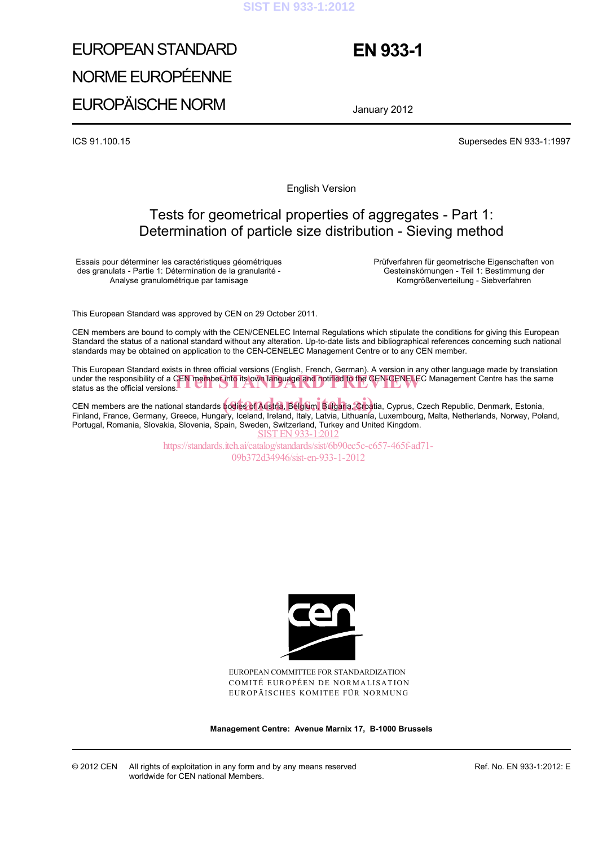#### **SIST EN 933-1:2012**

# EUROPEAN STANDARD NORME EUROPÉENNE EUROPÄISCHE NORM

## **EN 933-1**

January 2012

ICS 91.100.15 Supersedes EN 933-1:1997

English Version

#### Tests for geometrical properties of aggregates - Part 1: Determination of particle size distribution - Sieving method

Essais pour déterminer les caractéristiques géométriques des granulats - Partie 1: Détermination de la granularité - Analyse granulométrique par tamisage

 Prüfverfahren für geometrische Eigenschaften von Gesteinskörnungen - Teil 1: Bestimmung der Korngrößenverteilung - Siebverfahren

This European Standard was approved by CEN on 29 October 2011.

CEN members are bound to comply with the CEN/CENELEC Internal Regulations which stipulate the conditions for giving this European Standard the status of a national standard without any alteration. Up-to-date lists and bibliographical references concerning such national standards may be obtained on application to the CEN-CENELEC Management Centre or to any CEN member.

This European Standard exists in three official versions (English, French, German). A version in any other language made by translation under the responsibility of a CEN member into its own language and notified to the CEN-CENELEC Management Centre has the same status as the official versions. status as the official versions.

CEN members are the national standards bodies of Austria, Belgium, Bulgaria, Croatia, Cyprus, Czech Republic, Denmark, Estonia, CEN members are the national standards bodies of Austria, Belgium, Bulgaria, Croatia, Cyprus, Czech Republic, Denmark, Estonia,<br>Finland, France, Germany, Greece, Hungary, Iceland, Ireland, Italy, Latvia, Lithuania, Luxembo Portugal, Romania, Slovakia, Slovenia, Spain, Sweden, Switzerland, Turkey and United Kingdom. **SIST EN 933-1:201** 

> https://standards.iteh.ai/catalog/standards/sist/6b90ec5c-c657-465f-ad71- 09b372d34946/sist-en-933-1-2012



EUROPEAN COMMITTEE FOR STANDARDIZATION COMITÉ EUROPÉEN DE NORMALISATION EUROPÄISCHES KOMITEE FÜR NORMUNG

**Management Centre: Avenue Marnix 17, B-1000 Brussels**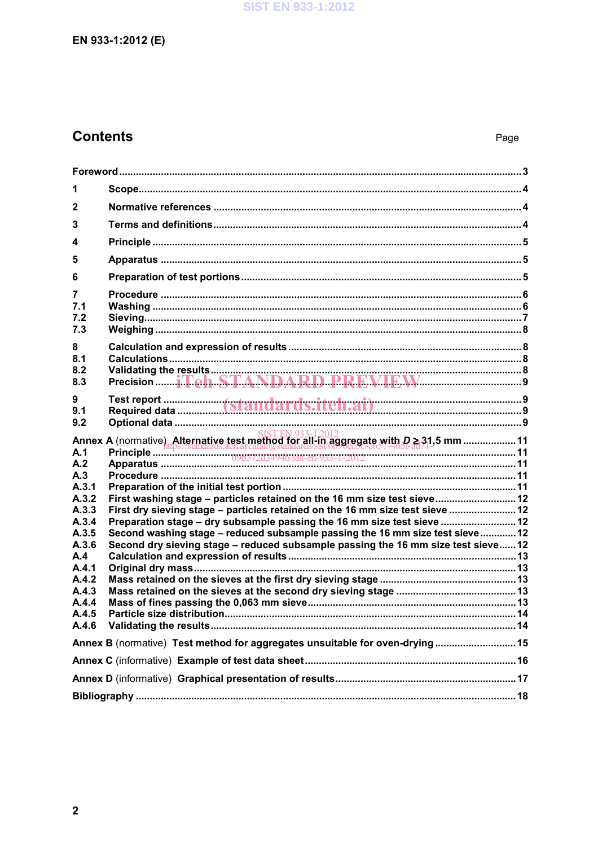### EN 933-1:2012 (E)

## **Contents**

| 1                                                                                                                         |                                                                                                                                                                                                                                                                                                                                                                                                             |  |  |  |
|---------------------------------------------------------------------------------------------------------------------------|-------------------------------------------------------------------------------------------------------------------------------------------------------------------------------------------------------------------------------------------------------------------------------------------------------------------------------------------------------------------------------------------------------------|--|--|--|
| 2                                                                                                                         |                                                                                                                                                                                                                                                                                                                                                                                                             |  |  |  |
| 3                                                                                                                         |                                                                                                                                                                                                                                                                                                                                                                                                             |  |  |  |
| 4                                                                                                                         |                                                                                                                                                                                                                                                                                                                                                                                                             |  |  |  |
| 5                                                                                                                         |                                                                                                                                                                                                                                                                                                                                                                                                             |  |  |  |
| 6                                                                                                                         |                                                                                                                                                                                                                                                                                                                                                                                                             |  |  |  |
| 7<br>7.1<br>7.2<br>7.3                                                                                                    |                                                                                                                                                                                                                                                                                                                                                                                                             |  |  |  |
| 8<br>8.1<br>8.2<br>8.3                                                                                                    |                                                                                                                                                                                                                                                                                                                                                                                                             |  |  |  |
| 9<br>9.1<br>9.2                                                                                                           |                                                                                                                                                                                                                                                                                                                                                                                                             |  |  |  |
| A.1<br>A.2<br>A.3<br>A.3.1<br>A.3.2<br>A.3.3<br>A.3.4<br>A.3.5<br>A.3.6<br>A.4<br>A.4.1<br>A.4.2<br>A.4.3<br>A.4.4<br>AA5 | First washing stage - particles retained on the 16 mm size test sieve 12<br>First dry sieving stage - particles retained on the 16 mm size test sieve  12<br>Preparation stage - dry subsample passing the 16 mm size test sieve  12<br>Second washing stage - reduced subsample passing the 16 mm size test sieve  12<br>Second dry sieving stage - reduced subsample passing the 16 mm size test sieve 12 |  |  |  |
| Annex B (normative) Test method for aggregates unsuitable for oven-drying 15                                              |                                                                                                                                                                                                                                                                                                                                                                                                             |  |  |  |
|                                                                                                                           |                                                                                                                                                                                                                                                                                                                                                                                                             |  |  |  |
|                                                                                                                           |                                                                                                                                                                                                                                                                                                                                                                                                             |  |  |  |
|                                                                                                                           |                                                                                                                                                                                                                                                                                                                                                                                                             |  |  |  |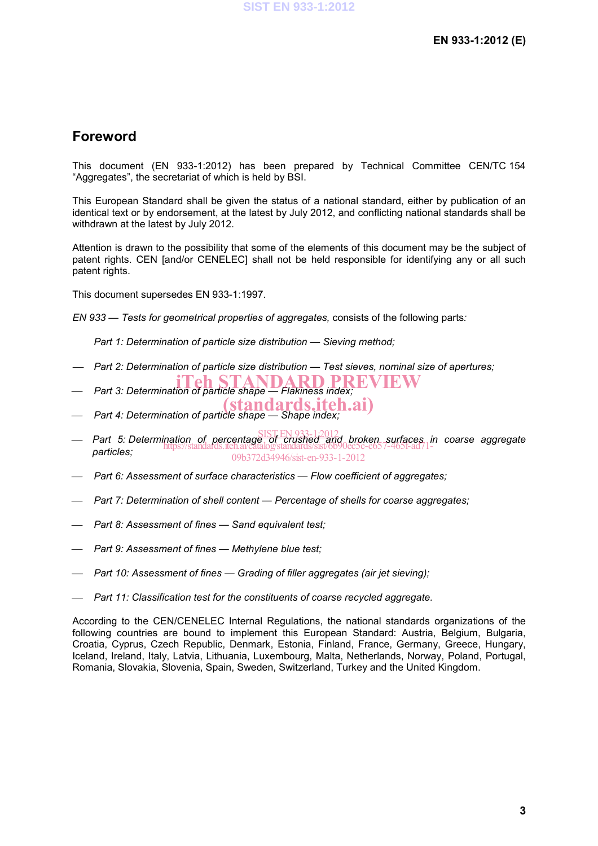#### **Foreword**

This document (EN 933-1:2012) has been prepared by Technical Committee CEN/TC 154 "Aggregates", the secretariat of which is held by BSI.

This European Standard shall be given the status of a national standard, either by publication of an identical text or by endorsement, at the latest by July 2012, and conflicting national standards shall be withdrawn at the latest by July 2012.

Attention is drawn to the possibility that some of the elements of this document may be the subject of patent rights. CEN [and/or CENELEC] shall not be held responsible for identifying any or all such patent rights.

This document supersedes EN 933-1:1997.

*EN 933 — Tests for geometrical properties of aggregates,* consists of the following parts*:* 

 *Part 1: Determination of particle size distribution — Sieving method;* 

- *Part 2: Determination of particle size distribution Test sieves, nominal size of apertures;*
- **Part 3: Determination of particle shape Flakiness index;**
- (standards.iteh.ai)
- *Part 4: Determination of particle shape Shape index;*
- *Part 5: Determination of percentage of crushed and broken surfaces in coarse aggregate*  SIST EN 933-1:2012 *particles;*  https://standards.iteh.ai/catalog/standards/sist/6b90ec5c-c657-465f-ad71- 09b372d34946/sist-en-933-1-2012
- *Part 6: Assessment of surface characteristics Flow coefficient of aggregates;*
- *Part 7: Determination of shell content Percentage of shells for coarse aggregates;*
- *Part 8: Assessment of fines Sand equivalent test;*
- *Part 9: Assessment of fines Methylene blue test;*
- *Part 10: Assessment of fines Grading of filler aggregates (air jet sieving);*
- *Part 11: Classification test for the constituents of coarse recycled aggregate.*

According to the CEN/CENELEC Internal Regulations, the national standards organizations of the following countries are bound to implement this European Standard: Austria, Belgium, Bulgaria, Croatia, Cyprus, Czech Republic, Denmark, Estonia, Finland, France, Germany, Greece, Hungary, Iceland, Ireland, Italy, Latvia, Lithuania, Luxembourg, Malta, Netherlands, Norway, Poland, Portugal, Romania, Slovakia, Slovenia, Spain, Sweden, Switzerland, Turkey and the United Kingdom.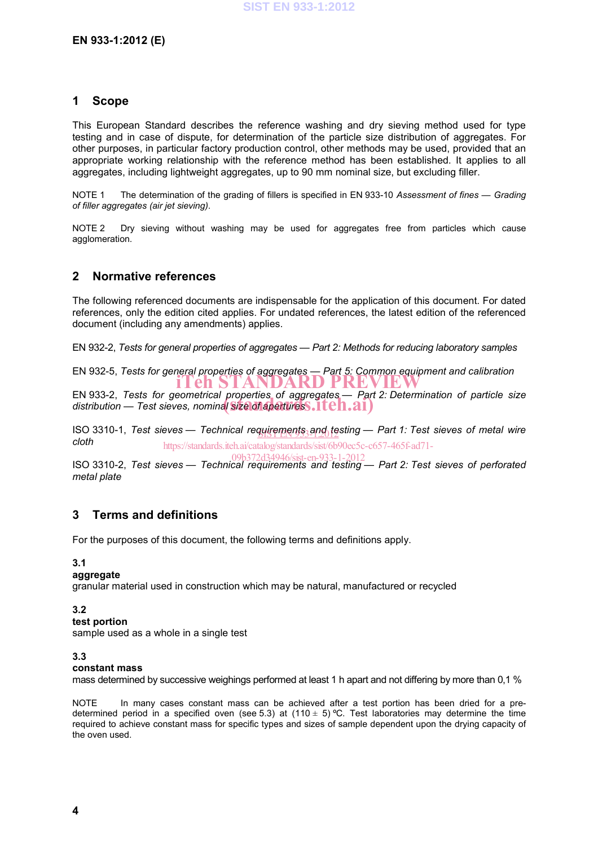#### **1 Scope**

This European Standard describes the reference washing and dry sieving method used for type testing and in case of dispute, for determination of the particle size distribution of aggregates. For other purposes, in particular factory production control, other methods may be used, provided that an appropriate working relationship with the reference method has been established. It applies to all aggregates, including lightweight aggregates, up to 90 mm nominal size, but excluding filler.

NOTE 1 The determination of the grading of fillers is specified in EN 933-10 *Assessment of fines — Grading of filler aggregates (air jet sieving)*.

NOTE 2 Dry sieving without washing may be used for aggregates free from particles which cause agglomeration.

#### **2 Normative references**

The following referenced documents are indispensable for the application of this document. For dated references, only the edition cited applies. For undated references, the latest edition of the referenced document (including any amendments) applies.

EN 932-2, *Tests for general properties of aggregates — Part 2: Methods for reducing laboratory samples*

EN 932-5, *Tests for general properties of aggregates — Part 5: Common equipment and calibration* iTeh STANDARD PREVIE

EN 933-2, *Tests for geometrical properties of aggregates — Part 2: Determination of particle size*  EN 933-2, Tests for geometrical properties of aggregates— Part<br>distribution — Test sieves, nominal **Size of apertures S.ITC n.ai**)

ISO 3310-1, *Test sieves* — *Technical requirements and testing* — Part 1: Test sieves of metal wire *cloth* https://standards.iteh.ai/catalog/standards/sist/6b90ec5c-c657-465f-ad71-

ISO 3310-2, *Test sieves — Technical requirements and testing — Part 2: Test sieves of perforated metal plate* 09b372d34946/sist-en-933-1-2012

#### **3 Terms and definitions**

For the purposes of this document, the following terms and definitions apply.

#### **3.1**

#### **aggregate**

granular material used in construction which may be natural, manufactured or recycled

**3.2** 

#### **test portion**

sample used as a whole in a single test

#### **3.3**

#### **constant mass**

mass determined by successive weighings performed at least 1 h apart and not differing by more than 0,1 %

NOTE In many cases constant mass can be achieved after a test portion has been dried for a predetermined period in a specified oven (see 5.3) at (110  $\pm$  5) °C. Test laboratories may determine the time required to achieve constant mass for specific types and sizes of sample dependent upon the drying capacity of the oven used.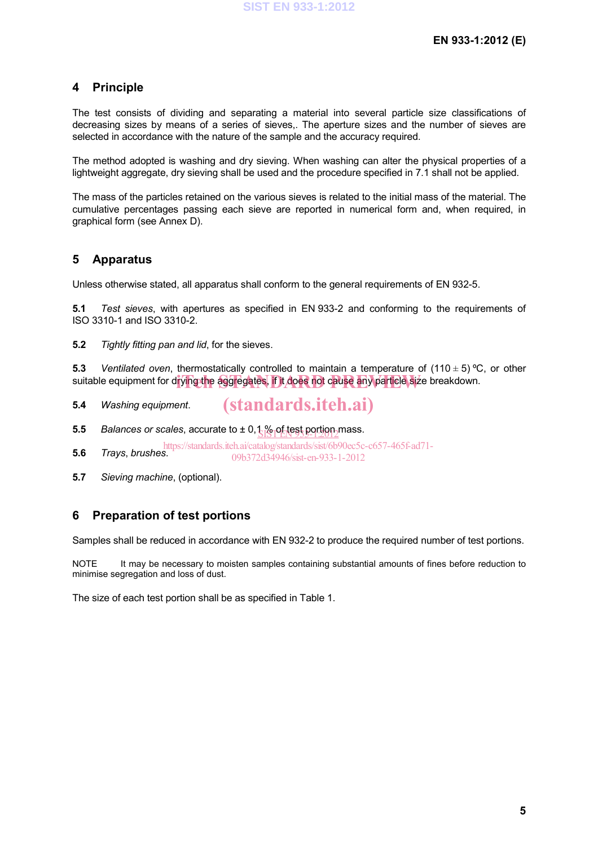#### **4 Principle**

The test consists of dividing and separating a material into several particle size classifications of decreasing sizes by means of a series of sieves,. The aperture sizes and the number of sieves are selected in accordance with the nature of the sample and the accuracy required.

The method adopted is washing and dry sieving. When washing can alter the physical properties of a lightweight aggregate, dry sieving shall be used and the procedure specified in 7.1 shall not be applied.

The mass of the particles retained on the various sieves is related to the initial mass of the material. The cumulative percentages passing each sieve are reported in numerical form and, when required, in graphical form (see Annex D).

#### **5 Apparatus**

Unless otherwise stated, all apparatus shall conform to the general requirements of EN 932-5.

**5.1** *Test sieves*, with apertures as specified in EN 933-2 and conforming to the requirements of ISO 3310-1 and ISO 3310-2.

**5.2** *Tightly fitting pan and lid*, for the sieves.

**5.3** *Ventilated oven*, thermostatically controlled to maintain a temperature of (110 ± 5) ºC, or other suitable equipment for drying the aggregates, if it does not cause any particle size breakdown.

**5.4** *Washing equipment*. (standards.iteh.ai)

**5.5** *Balances or scales, accurate to*  $\pm$  *0,1% of test portion mass.* SIST EN 935-1:2012

**5.6** *Trays*, *brushes*. https://standards.iteh.ai/catalog/standards/sist/6b90ec5c-c657-465f-ad71- 09b372d34946/sist-en-933-1-2012

**5.7** *Sieving machine*, (optional).

#### **6 Preparation of test portions**

Samples shall be reduced in accordance with EN 932-2 to produce the required number of test portions.

NOTE It may be necessary to moisten samples containing substantial amounts of fines before reduction to minimise segregation and loss of dust.

The size of each test portion shall be as specified in Table 1.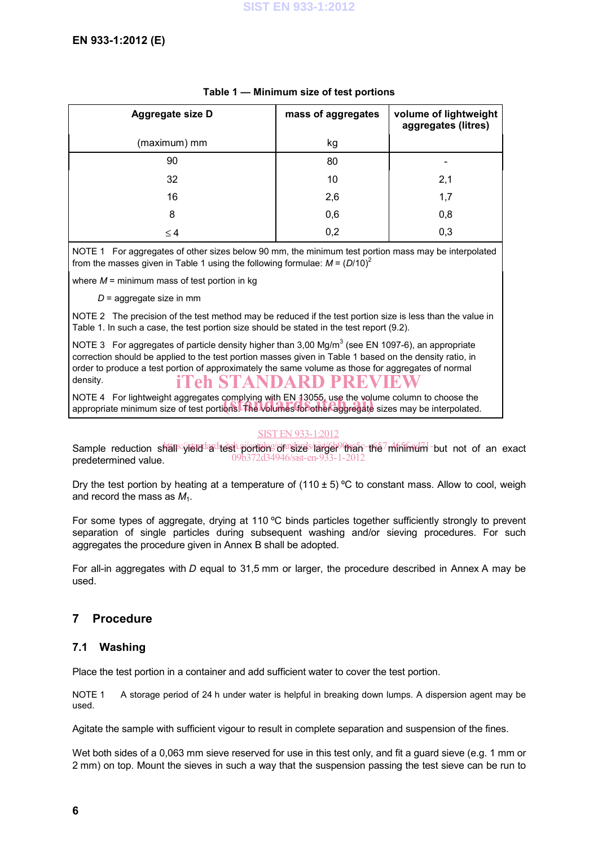| Aggregate size D | mass of aggregates | volume of lightweight<br>aggregates (litres) |  |
|------------------|--------------------|----------------------------------------------|--|
| (maximum) mm     | kg                 |                                              |  |
| 90               | 80                 |                                              |  |
| 32               | 10                 | 2,1                                          |  |
| 16               | 2,6                | 1,7                                          |  |
| 8                | 0,6                | 0,8                                          |  |
| $\leq 4$         | 0,2                | 0,3                                          |  |

#### **Table 1 — Minimum size of test portions**

NOTE 1 For aggregates of other sizes below 90 mm, the minimum test portion mass may be interpolated from the masses given in Table 1 using the following formulae:  $M = (D/10)^2$ 

where  $M =$  minimum mass of test portion in kg

*D* = aggregate size in mm

NOTE 2 The precision of the test method may be reduced if the test portion size is less than the value in Table 1. In such a case, the test portion size should be stated in the test report (9.2).

NOTE 3 For aggregates of particle density higher than 3,00 Mg/m<sup>3</sup> (see EN 1097-6), an appropriate correction should be applied to the test portion masses given in Table 1 based on the density ratio, in order to produce a test portion of approximately the same volume as those for aggregates of normal density. 'eh STANDARD PRE

NOTE 4 For lightweight aggregates complying with EN 13055, use the volume column to choose the NOTE 4 For lightweight aggregates complying with EN 13055, use the volume column to choose the<br>appropriate minimum size of test portions. The volumes for other aggregate sizes may be interpolated.

#### SIST EN 933-1:2012

Sample reduction shall<sup>s:/</sup>/reld<sup>1</sup>adtest-portions/of shotalogien.htm the minimum but not of an exact predetermined value. 09b372d34946/sist-en-933-1-2012

Dry the test portion by heating at a temperature of  $(110 \pm 5)$  °C to constant mass. Allow to cool, weigh and record the mass as  $M_1$ .

For some types of aggregate, drying at 110 °C binds particles together sufficiently strongly to prevent separation of single particles during subsequent washing and/or sieving procedures. For such aggregates the procedure given in Annex B shall be adopted.

For all-in aggregates with *D* equal to 31,5 mm or larger, the procedure described in Annex A may be used.

#### **7 Procedure**

#### **7.1 Washing**

Place the test portion in a container and add sufficient water to cover the test portion.

NOTE 1 A storage period of 24 h under water is helpful in breaking down lumps. A dispersion agent may be used.

Agitate the sample with sufficient vigour to result in complete separation and suspension of the fines.

Wet both sides of a 0,063 mm sieve reserved for use in this test only, and fit a quard sieve (e.g. 1 mm or 2 mm) on top. Mount the sieves in such a way that the suspension passing the test sieve can be run to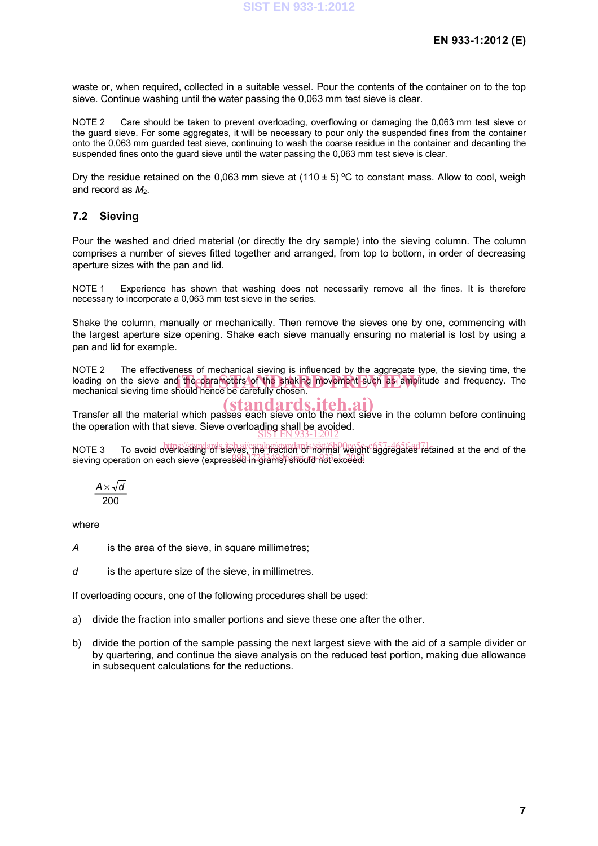waste or, when required, collected in a suitable vessel. Pour the contents of the container on to the top sieve. Continue washing until the water passing the 0,063 mm test sieve is clear.

NOTE 2 Care should be taken to prevent overloading, overflowing or damaging the 0,063 mm test sieve or the guard sieve. For some aggregates, it will be necessary to pour only the suspended fines from the container onto the 0,063 mm guarded test sieve, continuing to wash the coarse residue in the container and decanting the suspended fines onto the guard sieve until the water passing the 0,063 mm test sieve is clear.

Dry the residue retained on the 0.063 mm sieve at (110  $\pm$  5) °C to constant mass. Allow to cool, weigh and record as  $M_2$ .

#### **7.2 Sieving**

Pour the washed and dried material (or directly the dry sample) into the sieving column. The column comprises a number of sieves fitted together and arranged, from top to bottom, in order of decreasing aperture sizes with the pan and lid.

NOTE 1 Experience has shown that washing does not necessarily remove all the fines. It is therefore necessary to incorporate a 0,063 mm test sieve in the series.

Shake the column, manually or mechanically. Then remove the sieves one by one, commencing with the largest aperture size opening. Shake each sieve manually ensuring no material is lost by using a pan and lid for example.

NOTE 2 The effectiveness of mechanical sieving is influenced by the aggregate type, the sieving time, the INSTERT THIS SHOCKTONS OF HIS ALTICAT STORY OF MILLINGS BY THE USPS SUCH SPOKERS. The STANDARD PREVIEW IS also amplitude and frequency. The mechanical sieving time should hence be carefully chosen. mechanical sieving time should hence be carefully chosen.

Transfer all the material which passes each sieve onto the next sieve in the column before continuing the operation with that sieve. Sieve overloading shall be avoided.<br>SIST EN 933-1:2012

NOTE 3 To avoid overloading of sieves, the rection of normal weight aggregates retained at the end of the sieving operation on each sieve (expressed in grams) should not exceed:

$$
\frac{A \times \sqrt{d}}{200}
$$

where

- *A* is the area of the sieve, in square millimetres;
- *d* is the aperture size of the sieve, in millimetres.

If overloading occurs, one of the following procedures shall be used:

- a) divide the fraction into smaller portions and sieve these one after the other.
- b) divide the portion of the sample passing the next largest sieve with the aid of a sample divider or by quartering, and continue the sieve analysis on the reduced test portion, making due allowance in subsequent calculations for the reductions.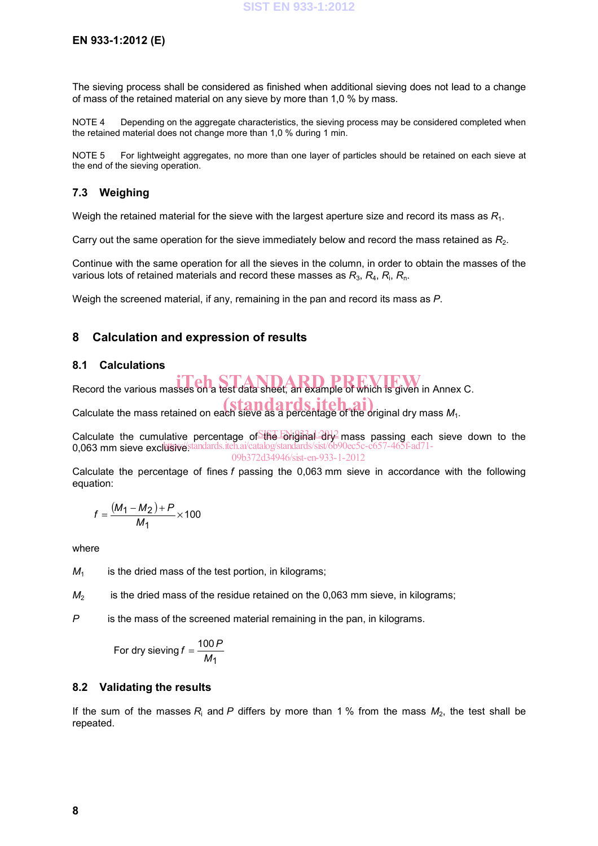#### **EN 933-1:2012 (E)**

The sieving process shall be considered as finished when additional sieving does not lead to a change of mass of the retained material on any sieve by more than 1,0 % by mass.

NOTE 4 Depending on the aggregate characteristics, the sieving process may be considered completed when the retained material does not change more than 1,0 % during 1 min.

NOTE 5 For lightweight aggregates, no more than one layer of particles should be retained on each sieve at the end of the sieving operation.

#### **7.3 Weighing**

Weigh the retained material for the sieve with the largest aperture size and record its mass as *R*1.

Carry out the same operation for the sieve immediately below and record the mass retained as  $R_2$ .

Continue with the same operation for all the sieves in the column, in order to obtain the masses of the various lots of retained materials and record these masses as  $R_3$ ,  $R_4$ ,  $R_i$ ,  $R_n$ .

Weigh the screened material, if any, remaining in the pan and record its mass as *P*.

#### **8 Calculation and expression of results**

#### **8.1 Calculations**

Record the various masses on a test data sheet, an example of which is given in Annex C.

Calculate the mass retained on each sieve as a percentage of the original dry mass  $M_1$ .

Calculate the cumulative percentage of the Briginal dry mass passing each sieve down to the 0,063 mm sieve exclusive standards.iteh.ai/catalog/standards/sist/6b90ec5c-c657-465f-ad71-09b372d34946/sist-en-933-1-2012

Calculate the percentage of fines *f* passing the 0,063 mm sieve in accordance with the following equation:

$$
f = \frac{(M_1 - M_2) + P}{M_1} \times 100
$$

where

 $M_1$  is the dried mass of the test portion, in kilograms;

 $M<sub>2</sub>$  is the dried mass of the residue retained on the 0,063 mm sieve, in kilograms;

*P* is the mass of the screened material remaining in the pan, in kilograms.

For dry sieving  $f = \frac{100 P}{M_1}$ 

#### **8.2 Validating the results**

If the sum of the masses  $R_i$  and  $P$  differs by more than 1 % from the mass  $M_2$ , the test shall be repeated.